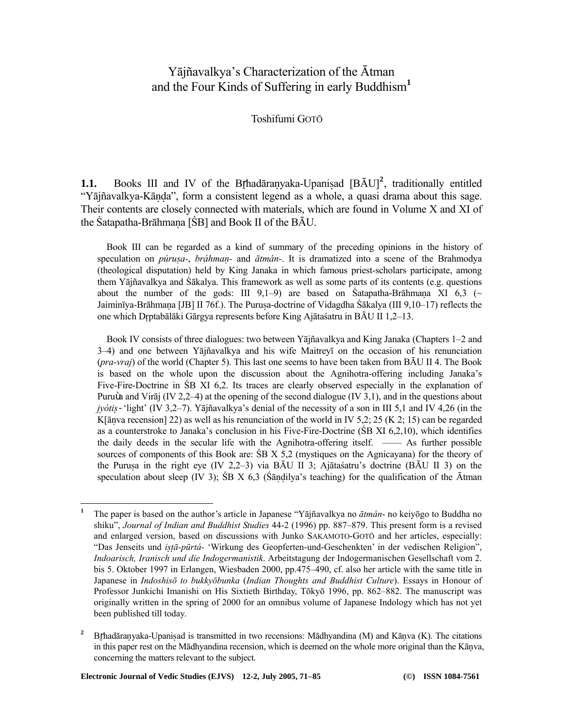# Yājñavalkya's Characterization of the Ātman and the Four Kinds of Suffering in early Buddhism**<sup>1</sup>**

Toshifumi GOTŌ

**1.1.** Books III and IV of the Brhadāranyaka-Upanisad  $[B\bar{A}U]^2$ , traditionally entitled "Yājñavalkya-Kāṇḍa", form a consistent legend as a whole, a quasi drama about this sage. Their contents are closely connected with materials, which are found in Volume X and XI of the Śatapatha-Brāhmaṇa [ŚB] and Book II of the BĀU.

 Book III can be regarded as a kind of summary of the preceding opinions in the history of speculation on *púrusa-*, *bráhman*- and  $\bar{a}$ *tmán*-. It is dramatized into a scene of the Brahmodya (theological disputation) held by King Janaka in which famous priest-scholars participate, among them Yājñavalkya and Śākalya. This framework as well as some parts of its contents (e.g. questions about the number of the gods: III 9,1–9) are based on Śatapatha-Brāhmana XI 6,3 ( $\sim$ Jaiminīya-Brāhmana [JB] II 76f.). The Purusa-doctrine of Vidagdha Śākalya (III 9,10–17) reflects the one which Dptabālāki Gārgya represents before King Ajātaśatru in BĀU II 1,2–13.

 Book IV consists of three dialogues: two between Yājñavalkya and King Janaka (Chapters 1–2 and 3–4) and one between Yājñavalkya and his wife Maitreyī on the occasion of his renunciation (*pra-vraj*) of the world (Chapter 5). This last one seems to have been taken from BĀU II 4. The Book is based on the whole upon the discussion about the Agnihotra-offering including Janaka's Five-Fire-Doctrine in ŚB XI 6,2. Its traces are clearly observed especially in the explanation of Puruùa and Virāj (IV 2,2–4) at the opening of the second dialogue (IV 3,1), and in the questions about *jyótiṣ*- 'light' (IV 3,2–7). Yājñavalkya's denial of the necessity of a son in III 5,1 and IV 4,26 (in the K[āṇva recension] 22) as well as his renunciation of the world in IV 5,2; 25 (K 2; 15) can be regarded as a counterstroke to Janaka's conclusion in his Five-Fire-Doctrine (ŚB XI 6,2,10), which identifies the daily deeds in the secular life with the Agnihotra-offering itself. —— As further possible sources of components of this Book are: ŚB X 5,2 (mystiques on the Agnicayana) for the theory of the Purusa in the right eye (IV 2,2–3) via BĀU II 3; Ajātaśatru's doctrine (BĀU II 3) on the speculation about sleep (IV 3); SB X 6,3 (Sandilya's teaching) for the qualification of the  $\bar{A}$ tman

 **1** The paper is based on the author's article in Japanese "Yājñavalkya no *ātmán*- no keiyōgo to Buddha no shiku", *Journal of Indian and Buddhist Studies* 44-2 (1996) pp. 887–879. This present form is a revised and enlarged version, based on discussions with Junko SAKAMOTO-GOTŌ and her articles, especially: "Das Jenseits und *iṣṭā-pūrtá-* 'Wirkung des Geopferten-und-Geschenkten' in der vedischen Religion", *Indoarisch, Iranisch und die Indogermanistik*. Arbeitstagung der Indogermanischen Gesellschaft vom 2. bis 5. Oktober 1997 in Erlangen, Wiesbaden 2000, pp.475–490, cf. also her article with the same title in Japanese in *Indoshisō to bukkyōbunka* (*Indian Thoughts and Buddhist Culture*). Essays in Honour of Professor Junkichi Imanishi on His Sixtieth Birthday, Tōkyō 1996, pp. 862–882. The manuscript was originally written in the spring of 2000 for an omnibus volume of Japanese Indology which has not yet been published till today.

<sup>&</sup>lt;sup>2</sup> Brhadāranvaka-Upanisad is transmitted in two recensions: Mādhyandina (M) and Kānva (K). The citations in this paper rest on the Mādhyandina recension, which is deemed on the whole more original than the Kāṇva, concerning the matters relevant to the subject.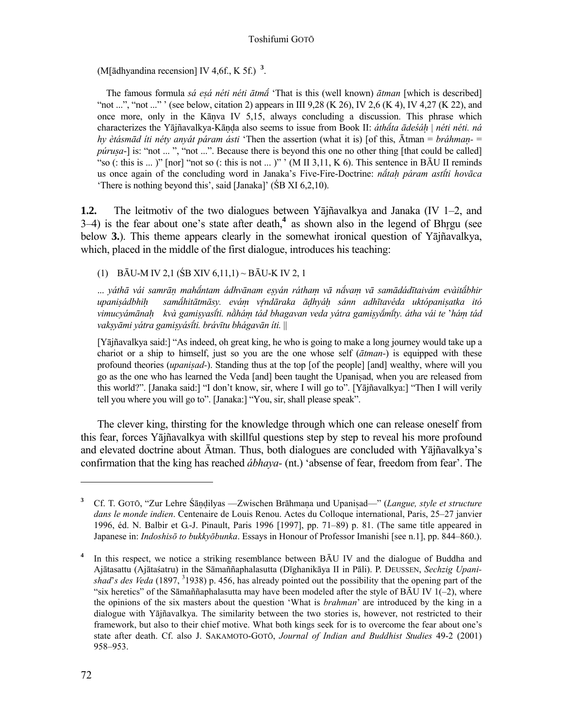(M[ādhyandina recension] IV 4,6f., K 5f.) **<sup>3</sup>** .

The famous formula *sá esá néti néti ātmā* 'That is this (well known) *ātman* [which is described] "not ...", "not ..." ' (see below, citation 2) appears in III 9,28 (K 26), IV 2,6 (K 4), IV 4,27 (K 22), and once more, only in the Kāṇva IV 5,15, always concluding a discussion. This phrase which characterizes the Yājñavalkya-Kāṇḍa also seems to issue from Book II: *áthta ādeśáḥ* | *néti néti. ná hy ètásmād íti néty anyát páram ásti* 'Then the assertion (what it is) [of this, Ātman = *bráhmaṇ-* = *púrușa*-] is: "not ... ", "not ...". Because there is beyond this one no other thing [that could be called] "so (: this is ... )" [nor] "not so (: this is not ... )" ' (M II 3,11, K 6). This sentence in BAU II reminds us once again of the concluding word in Janaka's Five-Fire-Doctrine: *nta» páram astti hovāca* 'There is nothing beyond this', said [Janaka]' (ŚB XI 6,2,10).

**1.2.** The leitmotiv of the two dialogues between Yājñavalkya and Janaka (IV 1–2, and 3–4) is the fear about one's state after death,<sup>4</sup> as shown also in the legend of Bhrgu (see below **3.**). This theme appears clearly in the somewhat ironical question of Yājñavalkya, which, placed in the middle of the first dialogue, introduces his teaching:

(1) BĀU-M IV 2,1 (ŚB XIV 6,11,1) ~ BĀU-K IV 2, 1

... váthā vái samrān mahántam ádhvānam esván rátham vā návam vā samādádītaivám evàitábhir upanisádbhih samáhitātmāsy. evám vŕndāraka ādhyáh sánn adhītavéda uktópanisatka itó *vimucyámānaḥ kvà gamiṣyasti. nháṃ tád bhagavan veda yátra gamiṣymty. átha vái te* '*háṃ tád vakṣyāmi yátra gamiṣyásti. brávītu bhágavān íti.* ||

 [Yājñavalkya said:] "As indeed, oh great king, he who is going to make a long journey would take up a chariot or a ship to himself, just so you are the one whose self (*ātman-*) is equipped with these profound theories (*upaniṣad-*). Standing thus at the top [of the people] [and] wealthy, where will you go as the one who has learned the Veda [and] been taught the Upanisad, when you are released from this world?". [Janaka said:] "I don't know, sir, where I will go to". [Yājñavalkya:] "Then I will verily tell you where you will go to". [Janaka:] "You, sir, shall please speak".

 The clever king, thirsting for the knowledge through which one can release oneself from this fear, forces Yājñavalkya with skillful questions step by step to reveal his more profound and elevated doctrine about Ātman. Thus, both dialogues are concluded with Yājñavalkya's confirmation that the king has reached *ábhaya-* (nt.) 'absense of fear, freedom from fear'. The

**<sup>3</sup>**Cf. T. GOTŌ, "Zur Lehre Śāṇḍilyas —Zwischen Brāhmaṇa und Upaniṣad—" (*Langue, style et structure dans le monde indien*. Centenaire de Louis Renou. Actes du Colloque international, Paris, 25–27 janvier 1996, éd. N. Balbir et G.-J. Pinault, Paris 1996 [1997], pp. 71–89) p. 81. (The same title appeared in Japanese in: *Indoshisō to bukkyōbunka*. Essays in Honour of Professor Imanishi [see n.1], pp. 844–860.).

**<sup>4</sup>** In this respect, we notice a striking resemblance between BĀU IV and the dialogue of Buddha and Ajātasattu (Ajātaśatru) in the Sāmaññaphalasutta (Dīghanikāya II in Pāli). P. DEUSSEN, *Sechzig Upani*shad's des Veda (1897, <sup>3</sup>1938) p. 456, has already pointed out the possibility that the opening part of the "six heretics" of the Sāmaññaphalasutta may have been modeled after the style of B $\bar{A}U$  IV 1(-2), where the opinions of the six masters about the question 'What is *brahman*' are introduced by the king in a dialogue with Yājñavalkya. The similarity between the two stories is, however, not restricted to their framework, but also to their chief motive. What both kings seek for is to overcome the fear about one's state after death. Cf. also J. SAKAMOTO-GOTŌ, *Journal of Indian and Buddhist Studies* 49-2 (2001) 958–953.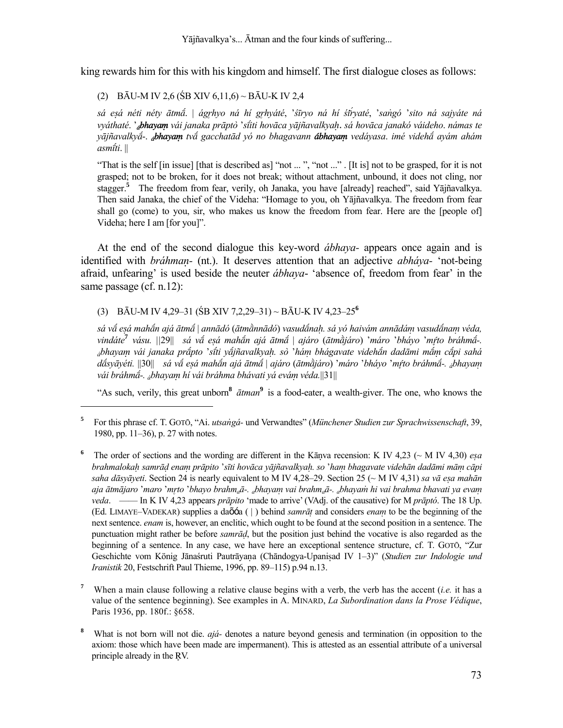king rewards him for this with his kingdom and himself. The first dialogue closes as follows:

(2) BĀU-M IV 2,6 (ŚB XIV 6,11,6) ~ BĀU-K IV 2,4

sá esá néti néty ātmá. | ágrhyo ná hí grhyáté, 'šīryo ná hí śtryaté, 'sangó 'sito ná sajyáte ná *vyáthaté*. '*ábhayaṃ vái janaka prāptò* '*siti hovāca yājñavalkyaḥ*. *sá hovāca janakó váideho*. *námas te yājñavalky*-. *ábhayaṃ tv gacchatād yó no bhagavann ábhayaṃ vedáyasa*. *imé videh ayám ahám asmti*. ||

"That is the self [in issue] [that is described as] "not ...", "not ...". [It is] not to be grasped, for it is not grasped; not to be broken, for it does not break; without attachment, unbound, it does not cling, nor stagger.**<sup>5</sup>** The freedom from fear, verily, oh Janaka, you have [already] reached", said Yājñavalkya. Then said Janaka, the chief of the Videha: "Homage to you, oh Yājñavalkya. The freedom from fear shall go (come) to you, sir, who makes us know the freedom from fear. Here are the [people of] Videha; here I am [for you]".

At the end of the second dialogue this key-word *ábhaya-* appears once again and is identified with *bráhmaṇ-* (nt.). It deserves attention that an adjective *abháya-* 'not-being afraid, unfearing' is used beside the neuter *ábhaya*- 'absence of, freedom from fear' in the same passage (cf. n.12):

(3) BĀU-M IV 4,29–31 (ŚB XIV 7,2,29–31) ~ BĀU-K IV 4,23–25**<sup>6</sup>**

l

sá vá esá mahán ajá ātmá | annādó (ātmànnādó) vasudánah. sá yó haivám annādám vasudánam véda, *vindáte***<sup>7</sup>** *vásu. ||*29|| *sá v eÞá mahn ajá ātm* | *ajáro* (*ātmjáro*) '*máro* '*bháyo* '*mto bráhm-. ábhayaṃ vái janaka prpto* '*sti yjñavalkya». sò* '*háμ bhágavate videhn dadāmi mṃ cpi sahá*  dásyāyéti. ||30|| sá vá esá mahán ajá ātmá | ajáro (ātmàjáro) 'máro 'bháyo 'mŕto bráhmá-. ¿bhayam *vái bráhm-. ábhayaṃ hí vái bráhma bhávati yá eváṃ véda.*||31||

"As such, verily, this great unborn**<sup>8</sup>** *ātman***<sup>9</sup>** is a food-eater, a wealth-giver. The one, who knows the

- <sup>6</sup> The order of sections and the wording are different in the Kānva recension: K IV 4,23 ( $\sim$  M IV 4,30) *esa* brahmalokah samrād enam prāpito 'sīti hovāca yājñavalkyah. so 'ham bhagavate videhān dadāmi mām cāpi *saha dāsyāyeti*. Section 24 is nearly equivalent to M IV 4,28–29. Section 25 (~ M IV 4,31) *sa vā esa mahān* aja ātmājaro 'maro 'mrto 'bhayo brahm<sub>a</sub>ā-. <sub>a</sub>bhayam vai brahm<sub>a</sub>ā-. <sub>a</sub>bhayam hi vai brahma bhavati ya evam *veda*. —— In K IV 4,23 appears *prāpito* 'made to arrive' (VAdj. of the causative) for M *prāptó*. The 18 Up. (Ed. LIMAYE–VADEKAR) supplies a daõóa ( | ) behind *samrāÊ* and considers *enaμ* to be the beginning of the next sentence. *enam* is, however, an enclitic, which ought to be found at the second position in a sentence. The punctuation might rather be before *samrā¶*, but the position just behind the vocative is also regarded as the beginning of a sentence. In any case, we have here an exceptional sentence structure, cf. T. GOTŌ, "Zur Geschichte vom König Jānaśruti Pautrāyana (Chāndogya-Upanisad IV 1–3)" (*Studien zur Indologie und Iranistik* 20, Festschrift Paul Thieme, 1996, pp. 89–115) p.94 n.13.
- **7** When a main clause following a relative clause begins with a verb, the verb has the accent (*i.e.* it has a value of the sentence beginning). See examples in A. MINARD, *La Subordination dans la Prose Védique*, Paris 1936, pp. 180f.: §658.
- **8** What is not born will not die. *ajá-* denotes a nature beyond genesis and termination (in opposition to the axiom: those which have been made are impermanent). This is attested as an essential attribute of a universal principle already in the RV.

**<sup>5</sup>**For this phrase cf. T. GOTŌ, "Ai. *utsaºgá-* und Verwandtes" (*Münchener Studien zur Sprachwissenschaft*, 39, 1980, pp. 11–36), p. 27 with notes.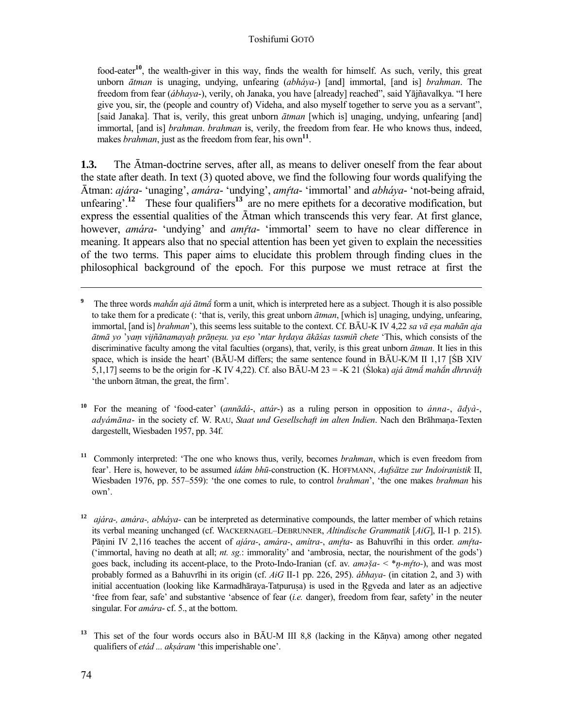food-eater**<sup>10</sup>**, the wealth-giver in this way, finds the wealth for himself. As such, verily, this great unborn *ātman* is unaging, undying, unfearing (*abháya-*) [and] immortal, [and is] *brahman*. The freedom from fear (*ábhaya*-), verily, oh Janaka, you have [already] reached", said Yājñavalkya. "I here give you, sir, the (people and country of) Videha, and also myself together to serve you as a servant", [said Janaka]. That is, verily, this great unborn *ātman* [which is] unaging, undying, unfearing [and] immortal, [and is] *brahman*. *brahman* is, verily, the freedom from fear. He who knows thus, indeed, makes *brahman*, just as the freedom from fear, his own<sup>11</sup>.

**1.3.** The Ātman-doctrine serves, after all, as means to deliver oneself from the fear about the state after death. In text (3) quoted above, we find the following four words qualifying the Ātman: *ajára*- 'unaging', *amára*- 'undying', *amta*- 'immortal' and *abháya*- 'not-being afraid, unfearing'.<sup>12</sup> These four qualifiers<sup>13</sup> are no mere epithets for a decorative modification, but express the essential qualities of the Ātman which transcends this very fear. At first glance, however, *amára*- 'undying' and *amta*- 'immortal' seem to have no clear difference in meaning. It appears also that no special attention has been yet given to explain the necessities of the two terms. This paper aims to elucidate this problem through finding clues in the philosophical background of the epoch. For this purpose we must retrace at first the

- **<sup>10</sup>** For the meaning of 'food-eater' (*annādá*-, *attár*-) as a ruling person in opposition to *ánna-*, *ādyà-*, *adyámāna-* in the society cf. W. RAU, *Staat und Gesellschaft im alten Indien*. Nach den Brāhmaúa-Texten dargestellt, Wiesbaden 1957, pp. 34f.
- <sup>11</sup> Commonly interpreted: 'The one who knows thus, verily, becomes *brahman*, which is even freedom from fear'. Here is, however, to be assumed *idám bhū-*construction (K. HOFFMANN, *Aufsätze zur Indoiranistik* II, Wiesbaden 1976, pp. 557–559): 'the one comes to rule, to control *brahman*', 'the one makes *brahman* his own'.
- **<sup>12</sup>***ajára-, amára-, abháya-* can be interpreted as determinative compounds, the latter member of which retains its verbal meaning unchanged (cf. WACKERNAGEL–DEBRUNNER, *Altindische Grammatik* [*AiG*], II-1 p. 215). Pāṇini IV 2,116 teaches the accent of *ajára-*, *amára-*, *amítra-*, *amta*- as Bahuvrīhi in this order. *amta*- ('immortal, having no death at all; *nt. sg.*: immorality' and 'ambrosia, nectar, the nourishment of the gods') goes back, including its accent-place, to the Proto-Indo-Iranian (cf. av. *am* $\delta a - \langle *_{n-m}f\circ\rangle$ , and was most probably formed as a Bahuvrīhi in its origin (cf. *AiG* II-1 pp. 226, 295). *ábhaya-* (in citation 2, and 3) with initial accentuation (looking like Karmadhāraya-Tatpuruṣa) is used in the Rgveda and later as an adjective 'free from fear, safe' and substantive 'absence of fear (*i.e.* danger), freedom from fear, safety' in the neuter singular. For *amára*- cf. 5., at the bottom.
- <sup>13</sup> This set of the four words occurs also in BAU-M III 8,8 (lacking in the Kāṇva) among other negated qualifiers of *etád ... akṣáram* 'this imperishable one'.

 $\overline{a}$ 

**<sup>9</sup>** The three words *maha<sup>n</sup>* ajá  $\bar{a}$ *tma*<sup> $\bar{a}$ </sup> form a unit, which is interpreted here as a subject. Though it is also possible to take them for a predicate (: 'that is, verily, this great unborn *ātman*, [which is] unaging, undying, unfearing, immortal, [and is] *brahman*'), this seems less suitable to the context. Cf. BĀU-K IV 4,22 *sa vā eṣa mahān aja*  ātmā vo 'vam vijñānamavah prānesu, va eso 'ntar hrdava ākāśas tasmiñ chete 'This, which consists of the discriminative faculty among the vital faculties (organs), that, verily, is this great unborn *ātman*. It lies in this space, which is inside the heart' (BAU-M differs; the same sentence found in BAU-K/M II 1,17 [ŚB XIV 5,1,17] seems to be the origin for -K IV 4,22). Cf. also BAU-M 23 = -K 21 (Śloka) *ajá ātmá mahán dhruváh* 'the unborn ātman, the great, the firm'.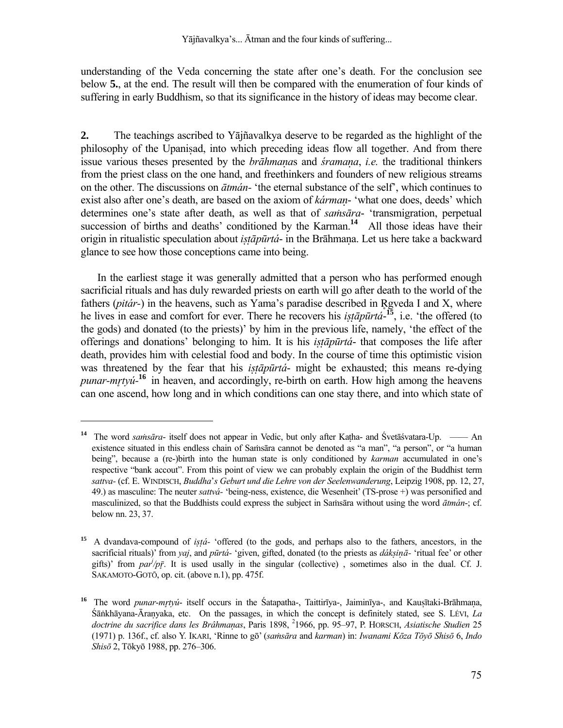understanding of the Veda concerning the state after one's death. For the conclusion see below **5.**, at the end. The result will then be compared with the enumeration of four kinds of suffering in early Buddhism, so that its significance in the history of ideas may become clear.

**2.** The teachings ascribed to Yājñavalkya deserve to be regarded as the highlight of the philosophy of the Upaniṣad, into which preceding ideas flow all together. And from there issue various theses presented by the *brāhmaṇa*s and *śramaṇa*, *i.e.* the traditional thinkers from the priest class on the one hand, and freethinkers and founders of new religious streams on the other. The discussions on *ātmán-* 'the eternal substance of the self', which continues to exist also after one's death, are based on the axiom of *kármaṇ*- 'what one does, deeds' which determines one's state after death, as well as that of *saṁsāra*- 'transmigration, perpetual succession of births and deaths' conditioned by the Karman.<sup>14</sup> All those ideas have their origin in ritualistic speculation about *iṣṭāpūrtá*- in the Brāhmaṇa. Let us here take a backward glance to see how those conceptions came into being.

 In the earliest stage it was generally admitted that a person who has performed enough sacrificial rituals and has duly rewarded priests on earth will go after death to the world of the fathers *(pitár-)* in the heavens, such as Yama's paradise described in Rgveda I and X, where he lives in ease and comfort for ever. There he recovers his *iṣṭāpūrtá*-**<sup>15</sup>**, i.e. 'the offered (to the gods) and donated (to the priests)' by him in the previous life, namely, 'the effect of the offerings and donations' belonging to him. It is his *iṣṭāpūrtá*- that composes the life after death, provides him with celestial food and body. In the course of time this optimistic vision was threatened by the fear that his *istapurtá*- might be exhausted; this means re-dying *punar-mtyú-***<sup>16</sup>** in heaven, and accordingly, re-birth on earth. How high among the heavens can one ascend, how long and in which conditions can one stay there, and into which state of

**<sup>14</sup>** The word *saṁsāra*- itself does not appear in Vedic, but only after Kaṭha- and Śvetāśvatara-Up. —— An existence situated in this endless chain of Saṁsāra cannot be denoted as "a man", "a person", or "a human being", because a (re-)birth into the human state is only conditioned by *karman* accumulated in one's respective "bank accout". From this point of view we can probably explain the origin of the Buddhist term *sattva-* (cf. E. WINDISCH, *Buddha*'*s Geburt und die Lehre von der Seelenwanderung*, Leipzig 1908, pp. 12, 27, 49.) as masculine: The neuter *sattvá-* 'being-ness, existence, die Wesenheit' (TS-prose +) was personified and masculinized, so that the Buddhists could express the subject in Saṁsāra without using the word *ātmán*-; cf. below nn. 23, 37.

**<sup>15</sup>**A dvandava-compound of *iṣṭá-* 'offered (to the gods, and perhaps also to the fathers, ancestors, in the sacrificial rituals)' from *yaj*, and *pūrtá-* 'given, gifted, donated (to the priests as *dákṣiṇā-* 'ritual fee' or other gifts)' from  $par<sup>j</sup>/p\bar{r}$ . It is used usally in the singular (collective), sometimes also in the dual. Cf. J. SAKAMOTO-GOTŌ, op. cit. (above n.1), pp. 475f.

**<sup>16</sup>** The word *punar*-*mtyú*- itself occurs in the Śatapatha-, Taittirīya-, Jaiminīya-, and Kauṣītaki-Brāhmaṇa, Śāṅkhāyana-Āraṇyaka, etc. On the passages, in which the concept is definitely stated, see S. LÉVI, *La doctrine du sacrifice dans les Brâhmaṇas*, Paris 1898, <sup>2</sup> 1966, pp. 95–97, P. HORSCH, *Asiatische Studien* 25 (1971) p. 136f., cf. also Y. IKARI, 'Rinne to gō' (*saṁsāra* and *karman*) in: *Iwanami Kōza Tōyō Shisō* 6, *Indo Shisō* 2, Tōkyō 1988, pp. 276–306.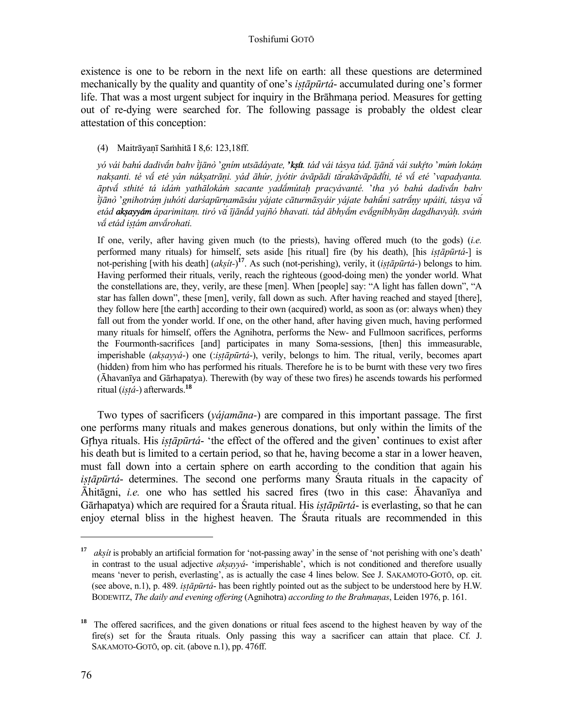existence is one to be reborn in the next life on earth: all these questions are determined mechanically by the quality and quantity of one's *iṣṭāpūrtá*- accumulated during one's former life. That was a most urgent subject for inquiry in the Brāhmana period. Measures for getting out of re-dying were searched for. The following passage is probably the oldest clear attestation of this conception:

(4) Maitrāyaṇī Saṁhitā I 8,6: 123,18ff.

yó vái bahú dadiván bahv tjānò 'gním utsādáyate, 'ksít. tád vái tásya tád. Tjāná vái sukŕto 'mún lokám naksanti. té vá eté yán náksatrāni. yád āhúr, jyótir ávāpādi tárakávāpādíti, té vá eté 'vapadyanta. *āptv sthité tá idáṁ yathālokáṁ sacante yadmútaḥ pracyávanté.* '*tha yó bahú dadivn bahv*  ījānò 'gnihotrám juhóti darśapūrnamāsáu yájate cāturmāsyáir yájate bahū́ni satrāny upáiti, tásya va etád **aksayyám** áparimitam, tiró vá ījānád yajñó bhavati, tád ābhyám evágníbhyām dagdhavyàh, svám *v etád iṣṭám anvrohati.*

 If one, verily, after having given much (to the priests), having offered much (to the gods) (*i.e.* performed many rituals) for himself, sets aside [his ritual] fire (by his death), [his *iṣṭāpūrtá*-] is not-perishing [with his death] (*akṣít-*) **<sup>17</sup>**. As such (not-perishing), verily, it (*iṣṭāpūrtá*-) belongs to him. Having performed their rituals, verily, reach the righteous (good-doing men) the yonder world. What the constellations are, they, verily, are these [men]. When [people] say: "A light has fallen down", "A star has fallen down", these [men], verily, fall down as such. After having reached and stayed [there], they follow here [the earth] according to their own (acquired) world, as soon as (or: always when) they fall out from the yonder world. If one, on the other hand, after having given much, having performed many rituals for himself, offers the Agnihotra, performs the New- and Fullmoon sacrifices, performs the Fourmonth-sacrifices [and] participates in many Soma-sessions, [then] this immeasurable, imperishable (*akṣayyá*-) one (:*iṣṭāpūrtá*-), verily, belongs to him. The ritual, verily, becomes apart (hidden) from him who has performed his rituals. Therefore he is to be burnt with these very two fires (Āhavanīya and Gārhapatya). Therewith (by way of these two fires) he ascends towards his performed ritual (*iṣṭá-*) afterwards.**<sup>18</sup>**

 Two types of sacrificers (*yájamāna-*) are compared in this important passage. The first one performs many rituals and makes generous donations, but only within the limits of the Grhya rituals. His *istāpūrtá*- 'the effect of the offered and the given' continues to exist after his death but is limited to a certain period, so that he, having become a star in a lower heaven, must fall down into a certain sphere on earth according to the condition that again his *istāpūrtá*- determines. The second one performs many Śrauta rituals in the capacity of Āhitāgni, *i.e.* one who has settled his sacred fires (two in this case: Āhavanīya and Gārhapatya) which are required for a Śrauta ritual. His *iṣṭāpūrtá*- is everlasting, so that he can enjoy eternal bliss in the highest heaven. The Śrauta rituals are recommended in this

**<sup>17</sup>** *akṣít* is probably an artificial formation for 'not-passing away' in the sense of 'not perishing with one's death' in contrast to the usual adjective *akṣayyá*- 'imperishable', which is not conditioned and therefore usually means 'never to perish, everlasting', as is actually the case 4 lines below. See J. SAKAMOTO-GOTŌ, op. cit. (see above, n.1), p. 489. *iṣṭāpūrtá*- has been rightly pointed out as the subject to be understood here by H.W. BODEWITZ, *The daily and evening offering* (Agnihotra) *according to the Brahmaṇas*, Leiden 1976, p. 161.

<sup>&</sup>lt;sup>18</sup> The offered sacrifices, and the given donations or ritual fees ascend to the highest heaven by way of the fire(s) set for the Śrauta rituals. Only passing this way a sacrificer can attain that place. Cf. J. SAKAMOTO-GOTŌ, op. cit. (above n.1), pp. 476ff.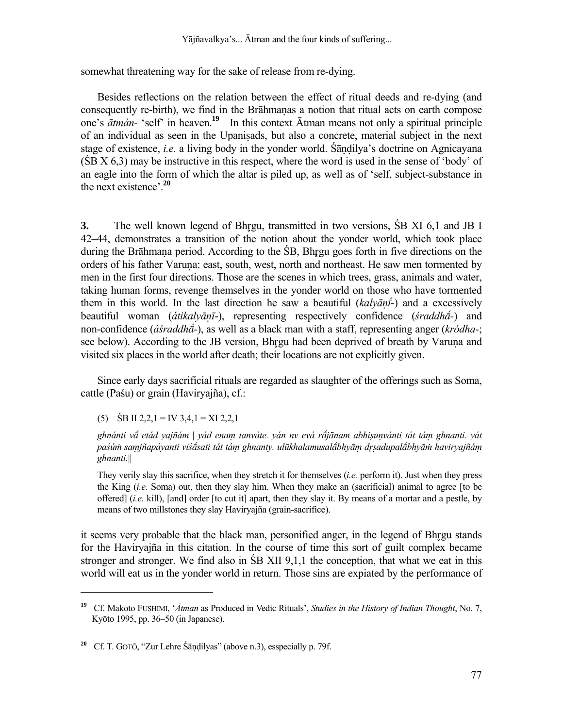somewhat threatening way for the sake of release from re-dying.

 Besides reflections on the relation between the effect of ritual deeds and re-dying (and consequently re-birth), we find in the Brāhmanas a notion that ritual acts on earth compose one's *ātmán-* 'self' in heaven.**<sup>19</sup>** In this context Ātman means not only a spiritual principle of an individual as seen in the Upanisads, but also a concrete, material subject in the next stage of existence, *i.e.* a living body in the yonder world. Sandilya's doctrine on Agnicayana (ŚB X 6,3) may be instructive in this respect, where the word is used in the sense of 'body' of an eagle into the form of which the altar is piled up, as well as of 'self, subject-substance in the next existence'.**<sup>20</sup>**

**3.** The well known legend of Bhrgu, transmitted in two versions, SB XI 6,1 and JB I 42–44, demonstrates a transition of the notion about the yonder world, which took place during the Brāhmana period. According to the SB, Bhrgu goes forth in five directions on the orders of his father Varuna: east, south, west, north and northeast. He saw men tormented by men in the first four directions. Those are the scenes in which trees, grass, animals and water, taking human forms, revenge themselves in the yonder world on those who have tormented them in this world. In the last direction he saw a beautiful (*kalyāṇ*-) and a excessively beautiful woman (*átikalyāṇī*-), representing respectively confidence (*śraddh-*) and non-confidence (*áśraddh-*), as well as a black man with a staff, representing anger (*kródha-*; see below). According to the JB version, Bhrgu had been deprived of breath by Varuna and visited six places in the world after death; their locations are not explicitly given.

 Since early days sacrificial rituals are regarded as slaughter of the offerings such as Soma, cattle (Paśu) or grain (Haviryajña), cf.:

(5)  $\angle$  SB II 2,2,1 = IV 3,4,1 = XI 2,2,1

l

*ghnánti v etád yajñám* | *yád enaṃ tanváte. yán nv evá rjānam abhiṣuṇvánti tát táṃ ghnanti. yát*  paśúm samjñapáyanti viśásati tát tám ghnanty. ulūkhalamusalábhyām drsadupalábhyām haviryajñám *ghnanti.*||

 They verily slay this sacrifice, when they stretch it for themselves (*i.e.* perform it). Just when they press the King (*i.e.* Soma) out, then they slay him. When they make an (sacrificial) animal to agree [to be offered] (*i.e.* kill), [and] order [to cut it] apart, then they slay it. By means of a mortar and a pestle, by means of two millstones they slay Haviryajña (grain-sacrifice).

it seems very probable that the black man, personified anger, in the legend of Bhrgu stands for the Haviryajña in this citation. In the course of time this sort of guilt complex became stronger and stronger. We find also in ŚB XII 9,1,1 the conception, that what we eat in this world will eat us in the yonder world in return. Those sins are expiated by the performance of

**<sup>19</sup>**Cf. Makoto FUSHIMI, '*Ātman* as Produced in Vedic Rituals', *Studies in the History of Indian Thought*, No. 7, Kyōto 1995, pp. 36–50 (in Japanese).

**<sup>20</sup>** Cf. T. GOTŌ, "Zur Lehre Śāṇḍilyas" (above n.3), esspecially p. 79f.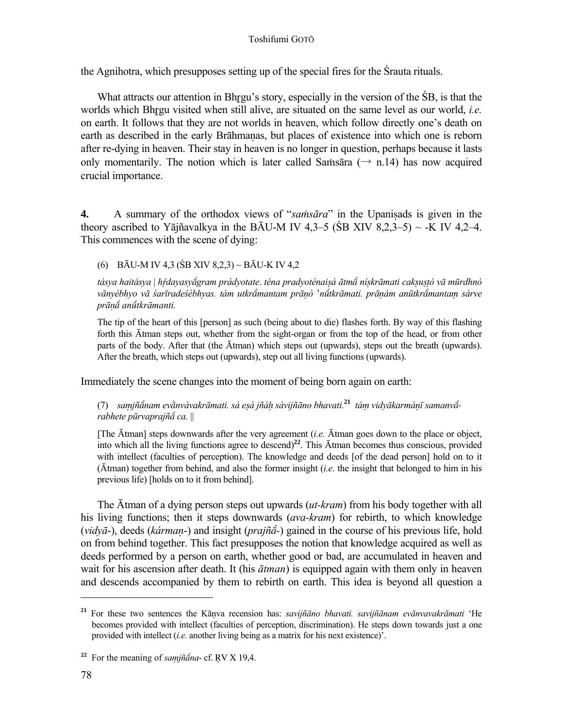the Agnihotra, which presupposes setting up of the special fires for the Śrauta rituals.

What attracts our attention in Bhrgu's story, especially in the version of the  $\overline{SB}$ , is that the worlds which Bhrgu visited when still alive, are situated on the same level as our world, *i.e.* on earth. It follows that they are not worlds in heaven, which follow directly one's death on earth as described in the early Brāhmanas, but places of existence into which one is reborn after re-dying in heaven. Their stay in heaven is no longer in question, perhaps because it lasts only momentarily. The notion which is later called Samsara ( $\rightarrow$  n.14) has now acquired crucial importance.

**4.** A summary of the orthodox views of "*saṁsāra*" in the Upaniṣads is given in the theory ascribed to Yājñavalkya in the BĀU-M IV 4,3–5 (SB XIV 8,2,3–5)  $\sim$  -K IV 4,2–4. This commences with the scene of dying:

(6) BĀU-M IV 4,3 (ŚB XIV 8,2,3) ~ BĀU-K IV 4,2

tásya haitásya | hŕdayasyágram prádyotate. téna pradyoténaisá ātmá nískrāmati caksustó vā mūrdhnó vānvébhvo vā śarīradeśébhvas, tám utkrámantam prānò 'nū́tkrāmati, prānám anūtkrámantam sárve *prāú antkrāmanti.*

 The tip of the heart of this [person] as such (being about to die) flashes forth. By way of this flashing forth this Ātman steps out, whether from the sight-organ or from the top of the head, or from other parts of the body. After that (the Ātman) which steps out (upwards), steps out the breath (upwards). After the breath, which steps out (upwards), step out all living functions (upwards).

Immediately the scene changes into the moment of being born again on earth:

(7) samjñánam evànvávakrāmati, sá esá jñáh sávijñāno bhavati.<sup>21</sup> tám vidyākarmánī samanvá *rabhete pūrvaprajñ ca.* ||

 [The Ātman] steps downwards after the very agreement (*i.e.* Ātman goes down to the place or object, into which all the living functions agree to descend)**<sup>22</sup>**. This Ātman becomes thus conscious, provided with intellect (faculties of perception). The knowledge and deeds [of the dead person] hold on to it (Ātman) together from behind, and also the former insight (*i.e*. the insight that belonged to him in his previous life) [holds on to it from behind].

The Ātman of a dying person steps out upwards (*ut-kram*) from his body together with all his living functions; then it steps downwards (*ava-kram*) for rebirth, to which knowledge (*vidyā*-), deeds (*kármaṇ*-) and insight (*prajñ-*) gained in the course of his previous life, hold on from behind together. This fact presupposes the notion that knowledge acquired as well as deeds performed by a person on earth, whether good or bad, are accumulated in heaven and wait for his ascension after death. It (his *ātman*) is equipped again with them only in heaven and descends accompanied by them to rebirth on earth. This idea is beyond all question a

**<sup>21</sup>** For these two sentences the Kāṇva recension has: *savijñāno bhavati. savijñānam evānvavakrāmati* 'He becomes provided with intellect (faculties of perception, discrimination). He steps down towards just a one provided with intellect (*i.e.* another living being as a matrix for his next existence)'.

**<sup>22</sup>** For the meaning of *saṃjñna*- cf. V X 19,4.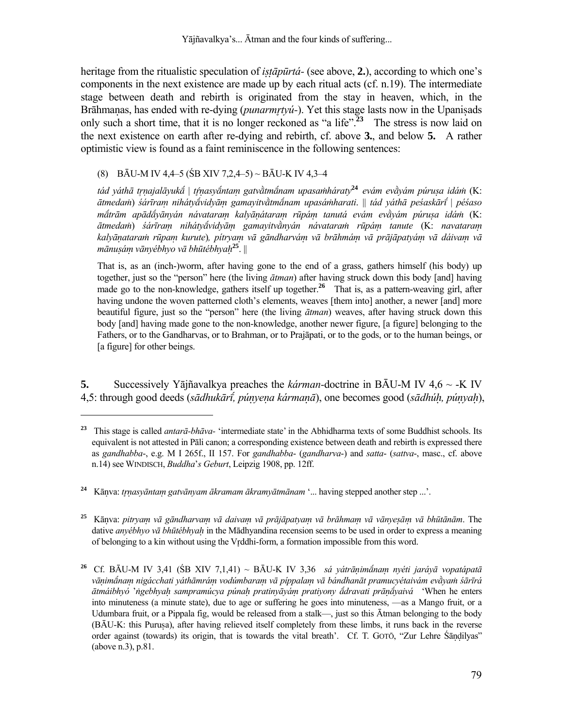Yājñavalkya's... Ātman and the four kinds of suffering...

heritage from the ritualistic speculation of *istapurtá*- (see above, 2.), according to which one's components in the next existence are made up by each ritual acts (cf. n.19). The intermediate stage between death and rebirth is originated from the stay in heaven, which, in the Brāhmaṇas, has ended with re-dying (*punarmtyú-*). Yet this stage lasts now in the Upaniṣads only such a short time, that it is no longer reckoned as "a life".**<sup>23</sup>** The stress is now laid on the next existence on earth after re-dying and rebirth, cf. above **3.**, and below **5.** A rather optimistic view is found as a faint reminiscence in the following sentences:

# (8) BĀU-M IV 4,4–5 (ŚB XIV 7,2,4–5) ~ BĀU-K IV 4,3–4

l

tád váthā trnajalāvukā | tŕnasvāntam gatvàtmānam upasamháratv<sup>24</sup> evám evàvám púrusa idám (K: ātmedam) śárīram nihátvávidvām gamavitvàtmánam upasámharati. || tád váthā peśaskārí | péśaso mátrām apādávānván návataram kalvānátaram rūpám tanutá evám evàvám púrusa idám (K.: ātmedam) sárīram nihátvāvidvām gamayitvānyán návataram rūpám tanute (K: navataram kalyānataram rūpam kurute), pitryam vā gāndharvám vā brāhmám vā prājāpatyám vā dáivam vā *mānuṣáṃ vānyébhyo vā bhūtébhyaḥ***<sup>25</sup>**. ||

 That is, as an (inch-)worm, after having gone to the end of a grass, gathers himself (his body) up together, just so the "person" here (the living *ātman*) after having struck down this body [and] having made go to the non-knowledge, gathers itself up together.**<sup>26</sup>** That is, as a pattern-weaving girl, after having undone the woven patterned cloth's elements, weaves [them into] another, a newer [and] more beautiful figure, just so the "person" here (the living *ātman*) weaves, after having struck down this body [and] having made gone to the non-knowledge, another newer figure, [a figure] belonging to the Fathers, or to the Gandharvas, or to Brahman, or to Prajāpati, or to the gods, or to the human beings, or [a figure] for other beings.

**5.** Successively Yājñavalkya preaches the *kárman-*doctrine in BĀU-M IV 4,6 ~ -K IV 4,5: through good deeds (sādhukārī, punyena karmanā), one becomes good (sādhuh, punyah),

**<sup>23</sup>** This stage is called *antarā-bhāva-* 'intermediate state' in the Abhidharma texts of some Buddhist schools. Its equivalent is not attested in Pāli canon; a corresponding existence between death and rebirth is expressed there as *gandhabba*-, e.g. M I 265f., II 157. For *gandhabba*- (*gandharva*-) and *satta*- (*sattva*-, masc., cf. above n.14) see WINDISCH, *Buddha*'*s Geburt*, Leipzig 1908, pp. 12ff.

**<sup>24</sup>** Kāṇva: *tṇasyāntaṃ gatvānyam ākramam ākramyātmānam* '... having stepped another step ...'.

<sup>&</sup>lt;sup>25</sup> Kānva: pitrvam vā gāndharvam vā daivam vā prājāpatyam vā brāhmam vā vānyesām vā bhūtānām. The dative *anyébhyo vā bhūtébhyaḥ* in the Mādhyandina recension seems to be used in order to express a meaning of belonging to a kin without using the Vrddhi-form, a formation impossible from this word.

**<sup>26</sup>** Cf. BĀU-M IV 3,41 (ŚB XIV 7,1,41) ~ BĀU-K IV 3,36 *sá yátrāṇimnaṃ nyéti jaráyā vopatápatā* vānimánam nigácchati váthāmrám vodúmbaram vā píppalam vā bándhanāt pramucvétaivám evàvam śārīrá *ātmáibhyó* '*ṅgebhyaḥ sampramúcya púnaḥ pratinyāyáṃ pratiyony dravati prāṇyaivá* 'When he enters into minuteness (a minute state), due to age or suffering he goes into minuteness, —as a Mango fruit, or a Udumbara fruit, or a Pippala fig, would be released from a stalk—, just so this Ātman belonging to the body (BĀU-K: this Purusa), after having relieved itself completely from these limbs, it runs back in the reverse order against (towards) its origin, that is towards the vital breath'. Cf. T. GOTŌ, "Zur Lehre Śāṇḍilyas" (above n.3), p.81.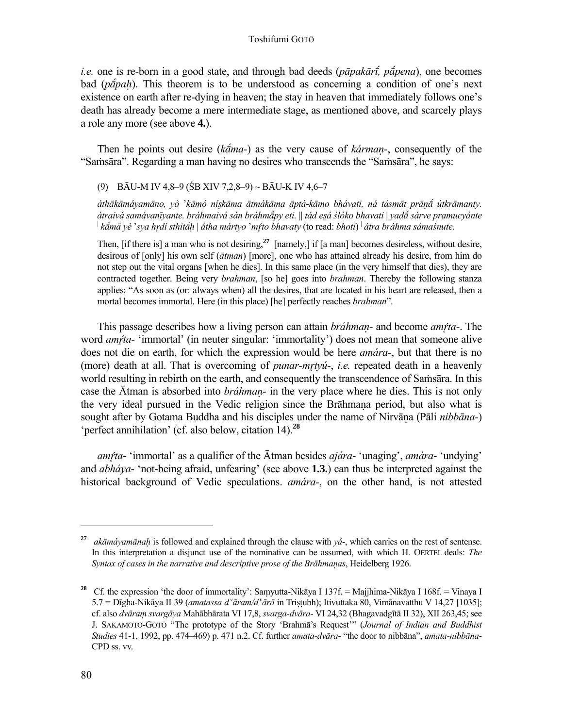*i.e.* one is re-born in a good state, and through bad deeds (*pāpakār, ppena*), one becomes bad (*pa<sup>r</sup>pah*). This theorem is to be understood as concerning a condition of one's next existence on earth after re-dying in heaven; the stay in heaven that immediately follows one's death has already become a mere intermediate stage, as mentioned above, and scarcely plays a role any more (see above **4.**).

 Then he points out desire (*kma-*) as the very cause of *kármaṇ-*, consequently of the "Saṁsāra". Regarding a man having no desires who transcends the "Saṁsāra", he says:

# (9) BĀU-M IV 4,8–9 (ŚB XIV 7,2,8–9) ~ BĀU-K IV 4,6–7

áthākāmávamāno, vò 'kāmó nískāma ātmákāma āptá-kāmo bhávati, ná tásmāt prāná útkrāmanty. *átraivá samávanīyante. bráhmaivá sán bráhmpy eti.* || *tád eṣá ślóko bhavati* | *yad sárve pramucyánte kmā yè* '*sya hdí sthit»* | *átha mártyo* '*mto bhavaty* (to read: *bhoti*) | *átra bráhma sámaśnute.*

 Then, [if there is] a man who is not desiring,**<sup>27</sup>** [namely,] if [a man] becomes desireless, without desire, desirous of [only] his own self (*ātman*) [more], one who has attained already his desire, from him do not step out the vital organs [when he dies]. In this same place (in the very himself that dies), they are contracted together. Being very *brahman*, [so he] goes into *brahman*. Thereby the following stanza applies: "As soon as (or: always when) all the desires, that are located in his heart are released, then a mortal becomes immortal. Here (in this place) [he] perfectly reaches *brahman*".

This passage describes how a living person can attain *bráhmaṇ-* and become *amta-*. The word *amta-* 'immortal' (in neuter singular: 'immortality') does not mean that someone alive does not die on earth, for which the expression would be here *amára-*, but that there is no (more) death at all. That is overcoming of *punar-mtyú-*, *i.e.* repeated death in a heavenly world resulting in rebirth on the earth, and consequently the transcendence of Saṁsāra. In this case the Ātman is absorbed into *bráhmaṇ-* in the very place where he dies. This is not only the very ideal pursued in the Vedic religion since the Brāhmaṇa period, but also what is sought after by Gotama Buddha and his disciples under the name of Nirvāṇa (Pāli *nibbāna-*) 'perfect annihilation' (cf. also below, citation 14).**<sup>28</sup>**

 *amta*- 'immortal' as a qualifier of the Ātman besides *ajára*- 'unaging', *amára*- 'undying' and *abháya*- 'not-being afraid, unfearing' (see above **1.3.**) can thus be interpreted against the historical background of Vedic speculations. *amára-*, on the other hand, is not attested

**<sup>27</sup>** *akāmáyamānaḥ* is followed and explained through the clause with *yá*-, which carries on the rest of sentense. In this interpretation a disjunct use of the nominative can be assumed, with which H. OERTEL deals: *The Syntax of cases in the narrative and descriptive prose of the Brāhmaúas*, Heidelberg 1926.

<sup>&</sup>lt;sup>28</sup> Cf. the expression 'the door of immortality': Samyutta-Nikāya I 137f. = Majjhima-Nikāya I 168f. = Vinaya I 5.7 = Dīgha-Nikāya II 39 (*amatassa d'āram/d'ārā* in Tristubh); Itivuttaka 80, Vimānavatthu V 14,27 [1035]; cf. also *dvāraṃ svargāya* Mahābhārata VI 17,8, *svarga-dvāra*- VI 24,32 (Bhagavadgītā II 32), XII 263,45; see J. SAKAMOTO-GOTŌ "The prototype of the Story 'Brahmā's Request'" (*Journal of Indian and Buddhist Studies* 41-1, 1992, pp. 474–469) p. 471 n.2. Cf. further *amata-dvāra*- "the door to nibbāna", *amata-nibbāna*-CPD ss. vv.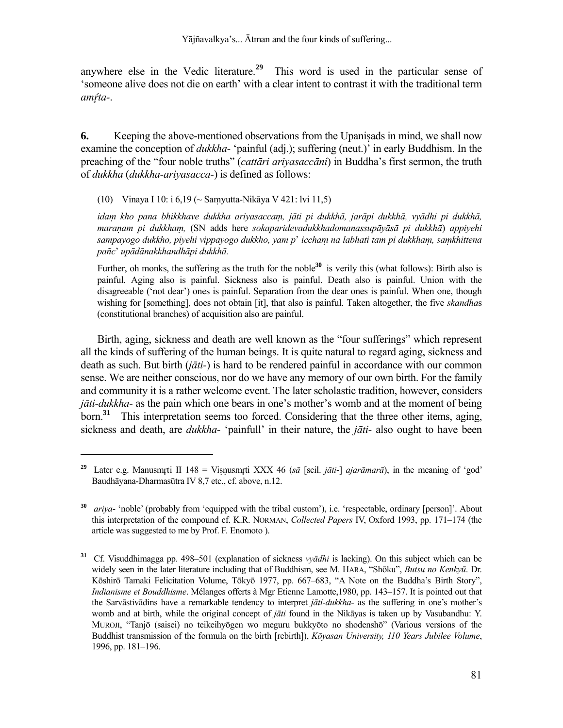anywhere else in the Vedic literature.**<sup>29</sup>** This word is used in the particular sense of 'someone alive does not die on earth' with a clear intent to contrast it with the traditional term *amta-*.

**6.** Keeping the above-mentioned observations from the Upaniṣads in mind, we shall now examine the conception of *dukkha-* 'painful (adj.); suffering (neut.)' in early Buddhism. In the preaching of the "four noble truths" (*cattāri ariyasaccāni*) in Buddha's first sermon, the truth of *dukkha* (*dukkha-ariyasacca-*) is defined as follows:

(10) Vinaya I 10: i 6,19 (~ Saṃyutta-Nikāya V 421: lvi 11,5)

l

 *idaṃ kho pana bhikkhave dukkha ariyasaccaṃ, jāti pi dukkhā, jarāpi dukkhā, vyādhi pi dukkhā, maraṇam pi dukkhaṃ,* (SN adds here *sokaparidevadukkhadomanassupāyāsā pi dukkhā*) *appiyehi sampayogo dukkho, piyehi vippayogo dukkho, yam p*' *icchaμ na labhati tam pi dukkhaṃ, saṃkhittena pañc*' *upādānakkhandhāpi dukkhā.*

Further, oh monks, the suffering as the truth for the noble<sup>30</sup> is verily this (what follows): Birth also is painful. Aging also is painful. Sickness also is painful. Death also is painful. Union with the disagreeable ('not dear') ones is painful. Separation from the dear ones is painful. When one, though wishing for [something], does not obtain [it], that also is painful. Taken altogether, the five *skandha*s (constitutional branches) of acquisition also are painful.

Birth, aging, sickness and death are well known as the "four sufferings" which represent all the kinds of suffering of the human beings. It is quite natural to regard aging, sickness and death as such. But birth (*jāti-*) is hard to be rendered painful in accordance with our common sense. We are neither conscious, nor do we have any memory of our own birth. For the family and community it is a rather welcome event. The later scholastic tradition, however, considers *jāti*-*dukkha*- as the pain which one bears in one's mother's womb and at the moment of being born.**<sup>31</sup>** This interpretation seems too forced. Considering that the three other items, aging, sickness and death, are *dukkha-* 'painfull' in their nature, the *jāti-* also ought to have been

<sup>&</sup>lt;sup>29</sup> Later e.g. Manusmrti II 148 = Visnusmrti XXX 46 ( $s\bar{a}$  [scil. *jāti*-] *ajarāmarā*), in the meaning of 'god' Baudhāyana-Dharmasūtra IV 8,7 etc., cf. above, n.12.

**<sup>30</sup>** *ariya*- 'noble' (probably from 'equipped with the tribal custom'), i.e. 'respectable, ordinary [person]'. About this interpretation of the compound cf. K.R. NORMAN, *Collected Papers* IV, Oxford 1993, pp. 171–174 (the article was suggested to me by Prof. F. Enomoto ).

**<sup>31</sup>** Cf. Visuddhimagga pp. 498–501 (explanation of sickness *vyādhi* is lacking). On this subject which can be widely seen in the later literature including that of Buddhism, see M. HARA, "Shōku", *Butsu no Kenkyū*. Dr. Kōshirō Tamaki Felicitation Volume, Tōkyō 1977, pp. 667–683, "A Note on the Buddha's Birth Story", *Indianisme et Bouddhisme*. Mélanges offerts à Mgr Etienne Lamotte,1980, pp. 143–157. It is pointed out that the Sarvāstivādins have a remarkable tendency to interpret *jāti-dukkha-* as the suffering in one's mother's womb and at birth, while the original concept of *jāti* found in the Nikāyas is taken up by Vasubandhu: Y. MUROJI, "Tanjō (saisei) no teikeihyōgen wo meguru bukkyōto no shodenshō" (Various versions of the Buddhist transmission of the formula on the birth [rebirth]), *Kōyasan University, 110 Years Jubilee Volume*, 1996, pp. 181–196.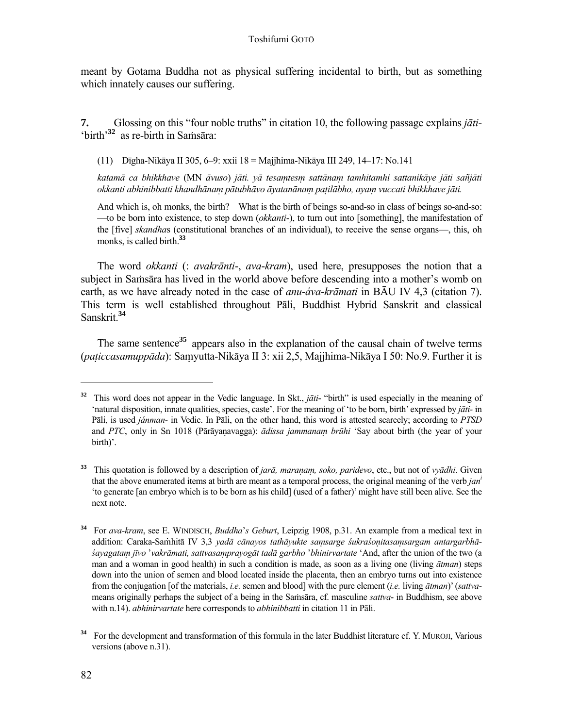meant by Gotama Buddha not as physical suffering incidental to birth, but as something which innately causes our suffering.

**7.** Glossing on this "four noble truths" in citation 10, the following passage explains *jāti-* 'birth<sup>'32</sup> as re-birth in Samsara:

(11) Dīgha-Nikāya II 305, 6–9: xxii 18 = Majjhima-Nikāya III 249, 14–17: No.141

katamā ca bhikkhave (MN āvuso) jāti. vā tesamtesm sattānam tamhitamhi sattanikāve jāti sañjāti okkanti abhinibbatti khandhānam pātubhāvo āvatanānam patilābho, avam vuccati bhikkhave jāti.

 And which is, oh monks, the birth? What is the birth of beings so-and-so in class of beings so-and-so: —to be born into existence, to step down (*okkanti-*), to turn out into [something], the manifestation of the [five] *skandha*s (constitutional branches of an individual), to receive the sense organs—, this, oh monks, is called birth.**<sup>33</sup>**

 The word *okkanti* (: *avakrānti*-, *ava*-*kram*), used here, presupposes the notion that a subject in Saṁsāra has lived in the world above before descending into a mother's womb on earth, as we have already noted in the case of *anu*-*áva*-*krāmati* in BĀU IV 4,3 (citation 7). This term is well established throughout Pāli, Buddhist Hybrid Sanskrit and classical Sanskrit.**<sup>34</sup>**

The same sentence<sup>35</sup> appears also in the explanation of the causal chain of twelve terms (*paṭiccasamuppāda*): Saṃyutta-Nikāya II 3: xii 2,5, Majjhima-Nikāya I 50: No.9. Further it is

**<sup>32</sup>** This word does not appear in the Vedic language. In Skt., *jāti*- "birth" is used especially in the meaning of 'natural disposition, innate qualities, species, caste'. For the meaning of 'to be born, birth' expressed by *jāti-* in Pāli, is used *jánman-* in Vedic. In Pāli, on the other hand, this word is attested scarcely; according to *PTSD* and *PTC*, only in Sn 1018 (Pārāyaṇavagga): *ādissa jammanaṃ brūhi* 'Say about birth (the year of your birth)'.

**<sup>33</sup>** This quotation is followed by a description of *jarā, maraṇaṃ, soko, paridevo*, etc., but not of *vyādhi*. Given that the above enumerated items at birth are meant as a temporal process, the original meaning of the verb *jani* 'to generate [an embryo which is to be born as his child] (used of a father)' might have still been alive. See the next note.

**<sup>34</sup>** For *ava-kram*, see E. WINDISCH, *Buddha*'*s Geburt*, Leipzig 1908, p.31. An example from a medical text in addition: Caraka-Samhitā IV 3.3 vadā cānavos tathāvukte samsarge śukraśonitasamsargam antargarbhā*śayagataṃ jīvo* '*vakrāmati, sattvasaṃprayogāt tadā garbho* '*bhinirvartate* 'And, after the union of the two (a man and a woman in good health) in such a condition is made, as soon as a living one (living *ātman*) steps down into the union of semen and blood located inside the placenta, then an embryo turns out into existence from the conjugation [of the materials, *i.e.* semen and blood] with the pure element (*i.e.* living *ātman*)' (*sattva*means originally perhaps the subject of a being in the Saṁsāra, cf. masculine *sattva*- in Buddhism, see above with n.14). *abhinirvartate* here corresponds to *abhinibbatti* in citation 11 in Pāli.

<sup>&</sup>lt;sup>34</sup> For the development and transformation of this formula in the later Buddhist literature cf. Y. MUROJI, Various versions (above n.31).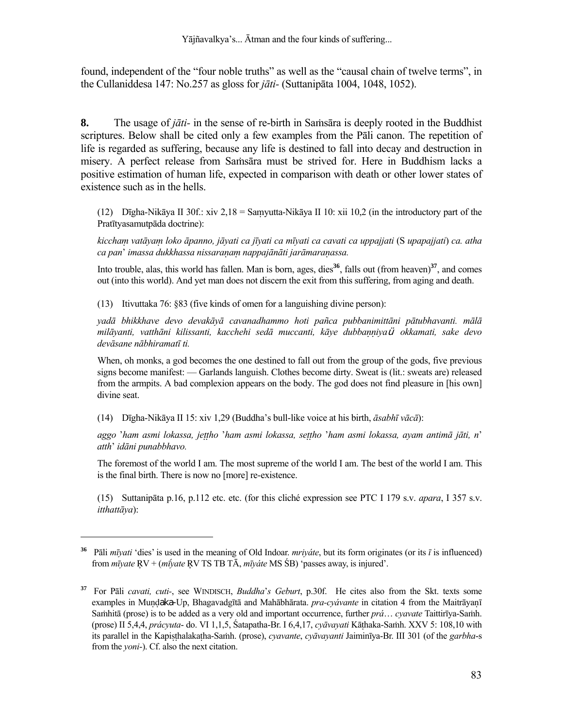found, independent of the "four noble truths" as well as the "causal chain of twelve terms", in the Cullaniddesa 147: No.257 as gloss for *jāti-* (Suttanipāta 1004, 1048, 1052).

**8.** The usage of *jāti-* in the sense of re-birth in Saṁsāra is deeply rooted in the Buddhist scriptures. Below shall be cited only a few examples from the Pāli canon. The repetition of life is regarded as suffering, because any life is destined to fall into decay and destruction in misery. A perfect release from Saṁsāra must be strived for. Here in Buddhism lacks a positive estimation of human life, expected in comparison with death or other lower states of existence such as in the hells.

(12) Dīgha-Nikāya II 30f.: xiv 2,18 = Saṃyutta-Nikāya II 10: xii 10,2 (in the introductory part of the Pratītyasamutpāda doctrine):

 *kicchaṃ vatāyaṃ loko āpanno, jāyati ca jīyati ca mīyati ca cavati ca uppajjati* (S *upapajjati*) *ca. atha ca pan*' *imassa dukkhassa nissaraṇaṃ nappajānāti jarāmaraṇassa.*

Into trouble, alas, this world has fallen. Man is born, ages, dies<sup>36</sup>, falls out (from heaven)<sup>37</sup>, and comes out (into this world). And yet man does not discern the exit from this suffering, from aging and death.

(13) Itivuttaka 76: §83 (five kinds of omen for a languishing divine person):

 *yadā bhikkhave devo devakāyā cavanadhammo hoti pañca pubbanimittāni pātubhavanti. mālā milāyanti, vatthāni kilissanti, kacchehi sedā muccanti, kāye dubbaṇṇiya*ü *okkamati, sake devo devāsane nābhiramatī ti.*

 When, oh monks, a god becomes the one destined to fall out from the group of the gods, five previous signs become manifest: — Garlands languish. Clothes become dirty. Sweat is (lit.: sweats are) released from the armpits. A bad complexion appears on the body. The god does not find pleasure in [his own] divine seat.

(14) Dīgha-Nikāya II 15: xiv 1,29 (Buddha's bull-like voice at his birth, *āsabhī vācā*):

l

 *aggo* '*ham asmi lokassa, jeṭṭho* '*ham asmi lokassa, seṭṭho* '*ham asmi lokassa, ayam antimā jāti, n*' *atth*' *idāni punabbhavo.*

 The foremost of the world I am. The most supreme of the world I am. The best of the world I am. This is the final birth. There is now no [more] re-existence.

 (15) Suttanipāta p.16, p.112 etc. etc. (for this cliché expression see PTC I 179 s.v. *apara*, I 357 s.v. *itthattāya*):

Pāli  $m\bar{v}$ *ati* 'dies' is used in the meaning of Old Indoar. *mriváte*, but its form originates (or its  $\bar{t}$  is influenced) from  $m\bar{v}$ *yate* RV + ( $m\bar{v}$ *yate* RV TS TB T $\bar{A}$ ,  $m\bar{v}$ */ate* MS  $\bar{S}B$ ) 'passes away, is injured'.

**<sup>37</sup>** For Pāli *cavati, cuti-*, see WINDISCH, *Buddha*'*s Geburt*, p.30f. He cites also from the Skt. texts some examples in Muṇḍaka-Up, Bhagavadgītā and Mahābhārata. *pra-cyávante* in citation 4 from the Maitrāyaṇī Saṁhitā (prose) is to be added as a very old and important occurrence, further *prá*… *cyavate* Taittirīya-Saṁh. (prose) II 5,4,4, *prácyuta*- do. VI 1,1,5, Śatapatha-Br. I 6,4,17, *cyāvayati* Kāṭhaka-Saṁh. XXV 5: 108,10 with its parallel in the Kapiṣṭhalakaṭha-Saṁh. (prose), *cyavante*, *cyāvayanti* Jaiminīya-Br. III 301 (of the *garbha*-s from the *yoni*-). Cf. also the next citation.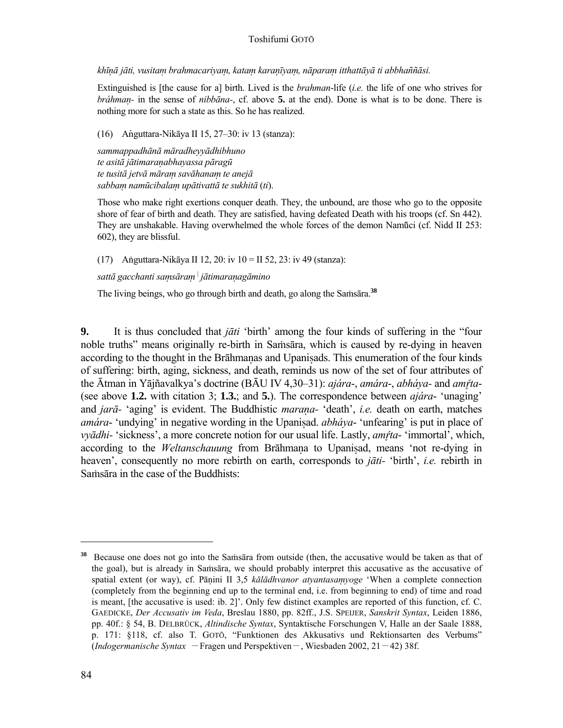khīnā jāti, vusitam brahmacariyam, katam karanīyam, nāparam itthattāyā ti abbhaññāsi.

 Extinguished is [the cause for a] birth. Lived is the *brahman*-life (*i.e.* the life of one who strives for *bráhmaṇ-* in the sense of *nibbāna-*, cf. above **5.** at the end). Done is what is to be done. There is nothing more for such a state as this. So he has realized.

(16) Anguttara-Nikāya II 15, 27–30: iv 13 (stanza):

 *sammappadhānā māradheyyādhibhuno te asitā jātimaraṇabhayassa pāragū te tusitā jetvā māraṃ savāhanaṃ te anejā sabbaṃ namūcibalaṃ upātivattā te sukhitā* (*ti*).

 Those who make right exertions conquer death. They, the unbound, are those who go to the opposite shore of fear of birth and death. They are satisfied, having defeated Death with his troops (cf. Sn 442). They are unshakable. Having overwhelmed the whole forces of the demon Namáci (cf. Nidd II 253: 602), they are blissful.

(17) Aṅguttara-Nikāya II 12, 20: iv 10 = II 52, 23: iv 49 (stanza):

 *sattā gacchanti saṃsāraṃ* <sup>|</sup> *jātimaraṇagāmino*

The living beings, who go through birth and death, go along the Samsara.<sup>38</sup>

**9.** It is thus concluded that *jāti* 'birth' among the four kinds of suffering in the "four noble truths" means originally re-birth in Samsara, which is caused by re-dying in heaven according to the thought in the Brāhmanas and Upanisads. This enumeration of the four kinds of suffering: birth, aging, sickness, and death, reminds us now of the set of four attributes of the Ātman in Yājñavalkya's doctrine (BĀU IV 4,30–31): *ajára*-, *amára*-, *abháya-* and *amta*- (see above **1.2.** with citation 3; **1.3.**; and **5.**). The correspondence between *ajára*- 'unaging' and *jarā-* 'aging' is evident. The Buddhistic *maraṇa-* 'death', *i.e.* death on earth, matches *amára*- 'undying' in negative wording in the Upanisad. *abháya*- 'unfearing' is put in place of *vyādhi-* 'sickness', a more concrete notion for our usual life. Lastly, *amta*- 'immortal', which, according to the *Weltanschauung* from Brāhmana to Upanisad, means 'not re-dying in heaven', consequently no more rebirth on earth, corresponds to *jāti-* 'birth', *i.e.* rebirth in Saṁsāra in the case of the Buddhists:

Because one does not go into the Saṁsāra from outside (then, the accusative would be taken as that of the goal), but is already in Saṁsāra, we should probably interpret this accusative as the accusative of spatial extent (or way), cf. Pāṇini II 3,5 *kālādhvanor atyantasaṃyoge* 'When a complete connection (completely from the beginning end up to the terminal end, i.e. from beginning to end) of time and road is meant, [the accusative is used: ib. 2]'. Only few distinct examples are reported of this function, cf. C. GAEDICKE, *Der Accusativ im Veda*, Breslau 1880, pp. 82ff., J.S. SPEIJER, *Sanskrit Syntax*, Leiden 1886, pp. 40f.: § 54, B. DELBRÜCK, *Altindische Syntax*, Syntaktische Forschungen V, Halle an der Saale 1888, p. 171: §118, cf. also T. GOTŌ, "Funktionen des Akkusativs und Rektionsarten des Verbums" (*Indogermanische Syntax* - Fragen und Perspektiven-, Wiesbaden 2002, 21-42) 38f.